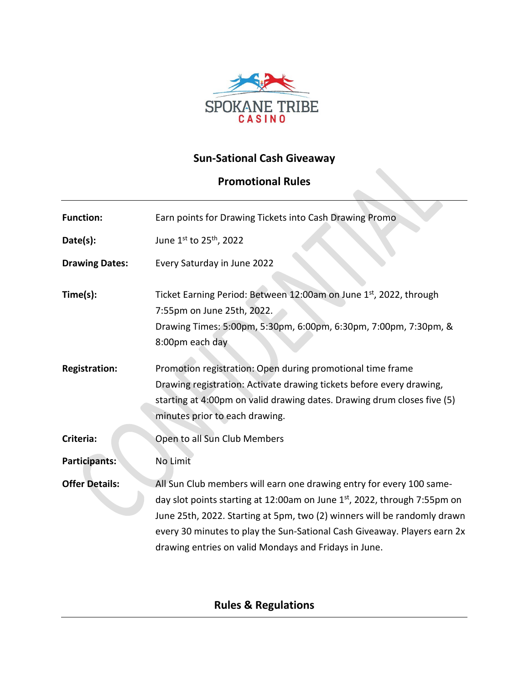

## **Sun-Sational Cash Giveaway**

# **Promotional Rules**

| <b>Function:</b>      | Earn points for Drawing Tickets into Cash Drawing Promo                                                                                                                                                                                                                                                                                                           |
|-----------------------|-------------------------------------------------------------------------------------------------------------------------------------------------------------------------------------------------------------------------------------------------------------------------------------------------------------------------------------------------------------------|
| Date(s):              | June 1st to 25 <sup>th</sup> , 2022                                                                                                                                                                                                                                                                                                                               |
| <b>Drawing Dates:</b> | Every Saturday in June 2022                                                                                                                                                                                                                                                                                                                                       |
| Time(s):              | Ticket Earning Period: Between 12:00am on June 1st, 2022, through<br>7:55pm on June 25th, 2022.<br>Drawing Times: 5:00pm, 5:30pm, 6:00pm, 6:30pm, 7:00pm, 7:30pm, &<br>8:00pm each day                                                                                                                                                                            |
| <b>Registration:</b>  | Promotion registration: Open during promotional time frame<br>Drawing registration: Activate drawing tickets before every drawing,<br>starting at 4:00pm on valid drawing dates. Drawing drum closes five (5)<br>minutes prior to each drawing.                                                                                                                   |
| Criteria:             | Open to all Sun Club Members                                                                                                                                                                                                                                                                                                                                      |
| Participants:         | No Limit                                                                                                                                                                                                                                                                                                                                                          |
| <b>Offer Details:</b> | All Sun Club members will earn one drawing entry for every 100 same-<br>day slot points starting at 12:00am on June 1st, 2022, through 7:55pm on<br>June 25th, 2022. Starting at 5pm, two (2) winners will be randomly drawn<br>every 30 minutes to play the Sun-Sational Cash Giveaway. Players earn 2x<br>drawing entries on valid Mondays and Fridays in June. |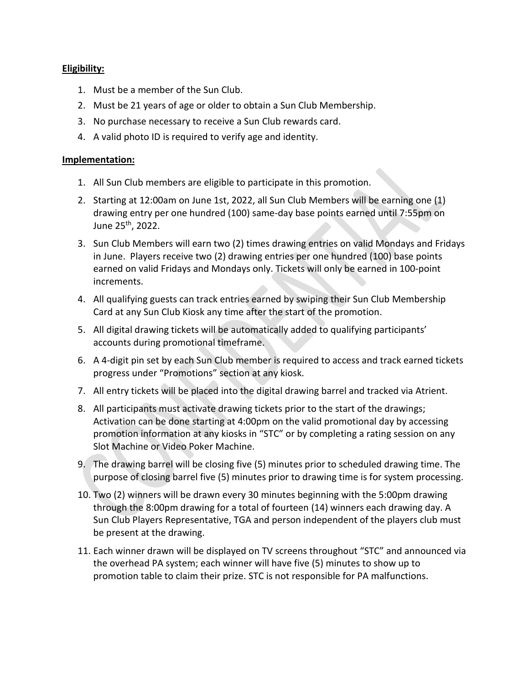### **Eligibility:**

- 1. Must be a member of the Sun Club.
- 2. Must be 21 years of age or older to obtain a Sun Club Membership.
- 3. No purchase necessary to receive a Sun Club rewards card.
- 4. A valid photo ID is required to verify age and identity.

#### **Implementation:**

- 1. All Sun Club members are eligible to participate in this promotion.
- 2. Starting at 12:00am on June 1st, 2022, all Sun Club Members will be earning one (1) drawing entry per one hundred (100) same-day base points earned until 7:55pm on June 25th, 2022.
- 3. Sun Club Members will earn two (2) times drawing entries on valid Mondays and Fridays in June. Players receive two (2) drawing entries per one hundred (100) base points earned on valid Fridays and Mondays only. Tickets will only be earned in 100-point increments.
- 4. All qualifying guests can track entries earned by swiping their Sun Club Membership Card at any Sun Club Kiosk any time after the start of the promotion.
- 5. All digital drawing tickets will be automatically added to qualifying participants' accounts during promotional timeframe.
- 6. A 4-digit pin set by each Sun Club member is required to access and track earned tickets progress under "Promotions" section at any kiosk.
- 7. All entry tickets will be placed into the digital drawing barrel and tracked via Atrient.
- 8. All participants must activate drawing tickets prior to the start of the drawings; Activation can be done starting at 4:00pm on the valid promotional day by accessing promotion information at any kiosks in "STC" or by completing a rating session on any Slot Machine or Video Poker Machine.
- 9. The drawing barrel will be closing five (5) minutes prior to scheduled drawing time. The purpose of closing barrel five (5) minutes prior to drawing time is for system processing.
- 10. Two (2) winners will be drawn every 30 minutes beginning with the 5:00pm drawing through the 8:00pm drawing for a total of fourteen (14) winners each drawing day. A Sun Club Players Representative, TGA and person independent of the players club must be present at the drawing.
- 11. Each winner drawn will be displayed on TV screens throughout "STC" and announced via the overhead PA system; each winner will have five (5) minutes to show up to promotion table to claim their prize. STC is not responsible for PA malfunctions.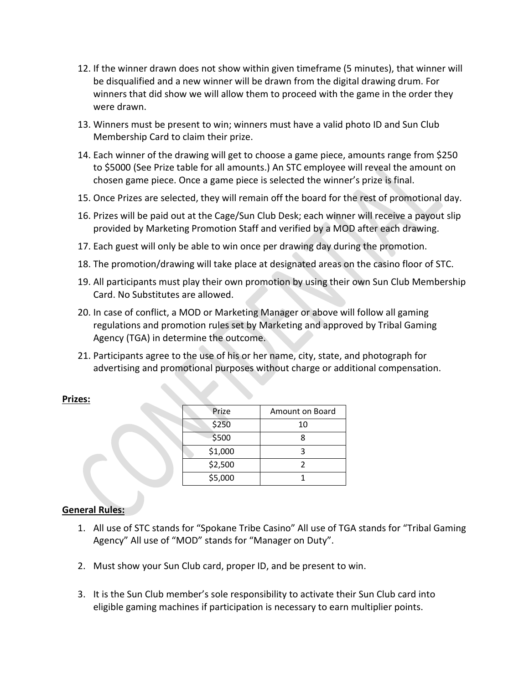- 12. If the winner drawn does not show within given timeframe (5 minutes), that winner will be disqualified and a new winner will be drawn from the digital drawing drum. For winners that did show we will allow them to proceed with the game in the order they were drawn.
- 13. Winners must be present to win; winners must have a valid photo ID and Sun Club Membership Card to claim their prize.
- 14. Each winner of the drawing will get to choose a game piece, amounts range from \$250 to \$5000 (See Prize table for all amounts.) An STC employee will reveal the amount on chosen game piece. Once a game piece is selected the winner's prize is final.
- 15. Once Prizes are selected, they will remain off the board for the rest of promotional day.
- 16. Prizes will be paid out at the Cage/Sun Club Desk; each winner will receive a payout slip provided by Marketing Promotion Staff and verified by a MOD after each drawing.
- 17. Each guest will only be able to win once per drawing day during the promotion.
- 18. The promotion/drawing will take place at designated areas on the casino floor of STC.
- 19. All participants must play their own promotion by using their own Sun Club Membership Card. No Substitutes are allowed.
- 20. In case of conflict, a MOD or Marketing Manager or above will follow all gaming regulations and promotion rules set by Marketing and approved by Tribal Gaming Agency (TGA) in determine the outcome.
- 21. Participants agree to the use of his or her name, city, state, and photograph for advertising and promotional purposes without charge or additional compensation.

#### **Prizes:**

| Prize   | Amount on Board |
|---------|-----------------|
| \$250   | 10              |
| \$500   |                 |
| \$1,000 |                 |
| \$2,500 | 2               |
| \$5,000 |                 |

### **General Rules:**

- 1. All use of STC stands for "Spokane Tribe Casino" All use of TGA stands for "Tribal Gaming Agency" All use of "MOD" stands for "Manager on Duty".
- 2. Must show your Sun Club card, proper ID, and be present to win.
- 3. It is the Sun Club member's sole responsibility to activate their Sun Club card into eligible gaming machines if participation is necessary to earn multiplier points.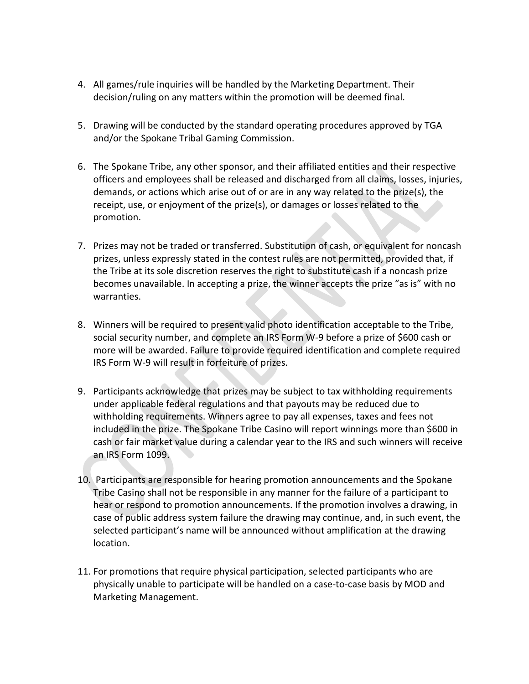- 4. All games/rule inquiries will be handled by the Marketing Department. Their decision/ruling on any matters within the promotion will be deemed final.
- 5. Drawing will be conducted by the standard operating procedures approved by TGA and/or the Spokane Tribal Gaming Commission.
- 6. The Spokane Tribe, any other sponsor, and their affiliated entities and their respective officers and employees shall be released and discharged from all claims, losses, injuries, demands, or actions which arise out of or are in any way related to the prize(s), the receipt, use, or enjoyment of the prize(s), or damages or losses related to the promotion.
- 7. Prizes may not be traded or transferred. Substitution of cash, or equivalent for noncash prizes, unless expressly stated in the contest rules are not permitted, provided that, if the Tribe at its sole discretion reserves the right to substitute cash if a noncash prize becomes unavailable. In accepting a prize, the winner accepts the prize "as is" with no warranties.
- 8. Winners will be required to present valid photo identification acceptable to the Tribe, social security number, and complete an IRS Form W-9 before a prize of \$600 cash or more will be awarded. Failure to provide required identification and complete required IRS Form W-9 will result in forfeiture of prizes.
- 9. Participants acknowledge that prizes may be subject to tax withholding requirements under applicable federal regulations and that payouts may be reduced due to withholding requirements. Winners agree to pay all expenses, taxes and fees not included in the prize. The Spokane Tribe Casino will report winnings more than \$600 in cash or fair market value during a calendar year to the IRS and such winners will receive an IRS Form 1099.
- 10. Participants are responsible for hearing promotion announcements and the Spokane Tribe Casino shall not be responsible in any manner for the failure of a participant to hear or respond to promotion announcements. If the promotion involves a drawing, in case of public address system failure the drawing may continue, and, in such event, the selected participant's name will be announced without amplification at the drawing location.
- 11. For promotions that require physical participation, selected participants who are physically unable to participate will be handled on a case-to-case basis by MOD and Marketing Management.